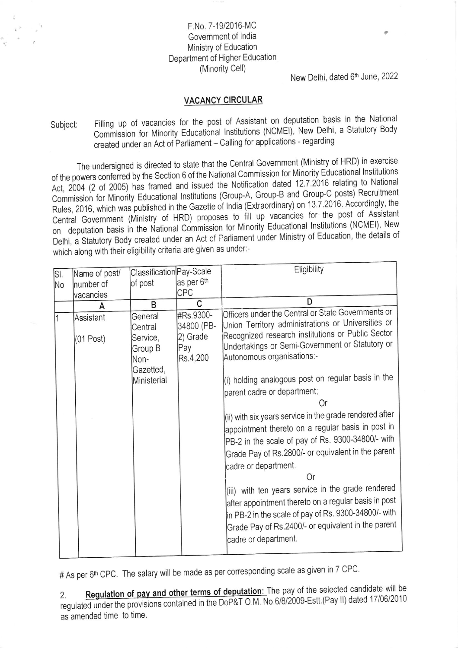## F.No. 7-19/2016-MC Government of India Ministry of Education Department of Higher Education (Minority Cell)

## New Delhi, dated 6th June, 2022

## **VACANCY CIRCULAR**

Filling up of vacancies for the post of Assistant on deputation basis in the National Subject: Commission for Minority Educational Institutions (NCMEI), New Delhi, a Statutory Body created under an Act of Parliament - Calling for applications - regarding

The undersigned is directed to state that the Central Government (Ministry of HRD) in exercise of the powers conferred by the Section 6 of the National Commission for Minority Educational Institutions Act, 2004 (2 of 2005) has framed and issued the Notification dated 12.7.2016 relating to National Commission for Minority Educational Institutions (Group-A, Group-B and Group-C posts) Recruitment Rules, 2016, which was published in the Gazette of India (Extraordinary) on 13.7.2016. Accordingly, the Central Government (Ministry of HRD) proposes to fill up vacancies for the post of Assistant on deputation basis in the National Commission for Minority Educational Institutions (NCMEI), New Delhi, a Statutory Body created under an Act of Parliament under Ministry of Education, the details of which along with their eligibility criteria are given as under:-

| SI. | Name of post/  | Classification Pay-Scale       |                                     | Eligibility                                                                                                                                                                                                                                            |
|-----|----------------|--------------------------------|-------------------------------------|--------------------------------------------------------------------------------------------------------------------------------------------------------------------------------------------------------------------------------------------------------|
| No. | number of      | of post                        | as per 6th                          |                                                                                                                                                                                                                                                        |
|     | vacancies      |                                | CPC                                 |                                                                                                                                                                                                                                                        |
|     | A              | в                              | C                                   | D                                                                                                                                                                                                                                                      |
| l1  | Assistant      | General<br>Central<br>Service, | #Rs.9300-<br>34800 (PB-<br>2) Grade | Officers under the Central or State Governments or<br>Union Territory administrations or Universities or<br>Recognized research institutions or Public Sector                                                                                          |
|     | $(01$ Post $)$ | Group B<br>Non-<br>Gazetted,   | Pay<br>Rs.4,200                     | Undertakings or Semi-Government or Statutory or<br>Autonomous organisations:-                                                                                                                                                                          |
|     |                | Ministerial                    |                                     | (i) holding analogous post on regular basis in the<br>parent cadre or department;<br>Or                                                                                                                                                                |
|     |                |                                |                                     | (ii) with six years service in the grade rendered after<br>appointment thereto on a regular basis in post in<br>PB-2 in the scale of pay of Rs. 9300-34800/- with<br>Grade Pay of Rs.2800/- or equivalent in the parent                                |
|     |                |                                |                                     | cadre or department.                                                                                                                                                                                                                                   |
|     |                |                                |                                     | Or<br>(iii) with ten years service in the grade rendered<br>after appointment thereto on a regular basis in post<br>in PB-2 in the scale of pay of Rs. 9300-34800/- with<br>Grade Pay of Rs.2400/- or equivalent in the parent<br>cadre or department. |

# As per 6<sup>th</sup> CPC. The salary will be made as per corresponding scale as given in 7 CPC.

Regulation of pay and other terms of deputation: The pay of the selected candidate will be  $2.$ regulated under the provisions contained in the DoP&T O.M. No.6/8/2009-Estt.(Pay II) dated 17/06/2010 as amended time to time.